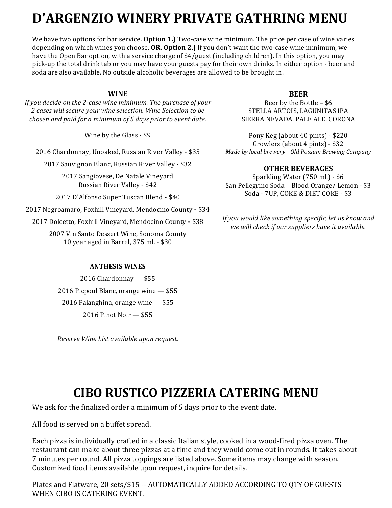# D'ARGENZIO WINERY PRIVATE GATHRING MENII

We have two options for bar service. **Option 1.**) Two-case wine minimum. The price per case of wine varies depending on which wines you choose. OR, Option 2.) If you don't want the two-case wine minimum, we have the Open Bar option, with a service charge of \$4/guest (including children). In this option, you may pick-up the total drink tab or you may have your guests pay for their own drinks. In either option - beer and soda are also available. No outside alcoholic beverages are allowed to be brought in.

## **WINE**

*If* you decide on the 2-case wine minimum. The purchase of your *2 cases will secure your wine selection. Wine Selection to be chosen and paid for a minimum of 5 days prior to event date.* 

Wine by the Glass - \$9

2016 Chardonnay, Unoaked, Russian River Valley - \$35

2017 Sauvignon Blanc, Russian River Valley - \$32

2017 Sangiovese, De Natale Vineyard Russian River Valley - \$42

2017 D'Alfonso Super Tuscan Blend - \$40

2017 Negroamaro, Foxhill Vineyard, Mendocino County - \$34

2017 Dolcetto, Foxhill Vineyard, Mendocino County - \$38

2007 Vin Santo Dessert Wine, Sonoma County 10 year aged in Barrel, 375 ml. - \$30

#### **ANTHESIS WINES**

 $2016$  Chardonnay  $-$  \$55 2016 Picpoul Blanc, orange wine  $-$  \$55 2016 Falanghina, orange wine  $-$  \$55 2016 Pinot Noir - \$55

*Reserve Wine List available upon request.*

### **BEER**

Beer by the Bottle  $-$  \$6 STELLA ARTOIS, LAGUNITAS IPA SIERRA NEVADA, PALE ALE, CORONA

Pony Keg (about 40 pints) - \$220 Growlers (about 4 pints) - \$32 *Made by local brewery - Old Possum Brewing Company*

#### **OTHER BEVERAGES**

Sparkling Water (750 ml.) - \$6 San Pellegrino Soda - Blood Orange/ Lemon - \$3 Soda - 7UP, COKE & DIET COKE - \$3

If you would like something specific, let us know and we will check if our suppliers have it available.

# **CIBO RUSTICO PIZZERIA CATERING MENU**

We ask for the finalized order a minimum of 5 days prior to the event date.

All food is served on a buffet spread.

Each pizza is individually crafted in a classic Italian style, cooked in a wood-fired pizza oven. The restaurant can make about three pizzas at a time and they would come out in rounds. It takes about 7 minutes per round. All pizza toppings are listed above. Some items may change with season. Customized food items available upon request, inquire for details.

Plates and Flatware, 20 sets/\$15 -- AUTOMATICALLY ADDED ACCORDING TO QTY OF GUESTS WHEN CIBO IS CATERING EVENT.